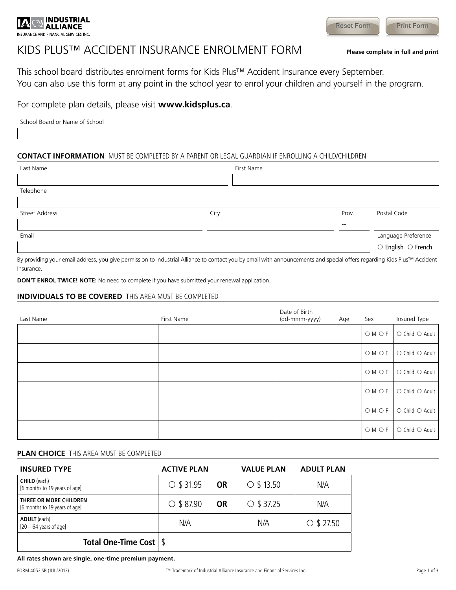

# KIDS PLUS™ ACCIDENT INSURANCE ENROLMENT FORM **Please complete in full and print**

This school board distributes enrolment forms for Kids Plus™ Accident Insurance every September. You can also use this form at any point in the school year to enrol your children and yourself in the program.

### For complete plan details, please visit **www.kidsplus.ca**.

School Board or Name of School

### **CONTACT INFORMATION** MUST BE COMPLETED BY A PARENT OR LEGAL GUARDIAN IF ENROLLING A CHILD/CHILDREN

| Last Name                                                                       |      | First Name                                                                                                      |                          |                                                                                                                 |
|---------------------------------------------------------------------------------|------|-----------------------------------------------------------------------------------------------------------------|--------------------------|-----------------------------------------------------------------------------------------------------------------|
|                                                                                 |      |                                                                                                                 |                          |                                                                                                                 |
| Telephone                                                                       |      |                                                                                                                 |                          |                                                                                                                 |
|                                                                                 |      |                                                                                                                 |                          |                                                                                                                 |
| Street Address                                                                  | City |                                                                                                                 | Prov.                    | Postal Code                                                                                                     |
|                                                                                 |      |                                                                                                                 | $\overline{\phantom{a}}$ |                                                                                                                 |
| Email                                                                           |      |                                                                                                                 |                          | Language Preference                                                                                             |
|                                                                                 |      |                                                                                                                 |                          | $\circlearrowright$ English $\circlearrowright$ French                                                          |
| the contract of the contract of the contract of the contract of the contract of |      | the contract of the contract of the contract of the contract of the contract of the contract of the contract of |                          | the contract of the contract of the contract of the contract of the contract of the contract of the contract of |

By providing your email address, you give permission to Industrial Alliance to contact you by email with announcements and special offers regarding Kids Plus™ Accident Insurance.

**DON'T ENROL TWICE! NOTE:** No need to complete if you have submitted your renewal application.

#### **INDIVIDUALS TO BE COVERED** THIS AREA MUST BE COMPLETED

| Last Name | First Name | Date of Birth<br>(dd-mmm-yyyy) | Age | Sex   | Insured Type    |
|-----------|------------|--------------------------------|-----|-------|-----------------|
|           |            |                                |     | OM OF | O Child O Adult |
|           |            |                                |     | OM OF | O Child O Adult |
|           |            |                                |     | OM OF | O Child O Adult |
|           |            |                                |     | OM OF | O Child O Adult |
|           |            |                                |     | OM OF | O Child O Adult |
|           |            |                                |     | OM OF | O Child O Adult |

### **PLAN CHOICE** THIS AREA MUST BE COMPLETED

| <b>INSURED TYPE</b>                                     | <b>ACTIVE PLAN</b> |           | <b>VALUE PLAN</b> | <b>ADULT PLAN</b> |  |
|---------------------------------------------------------|--------------------|-----------|-------------------|-------------------|--|
| <b>CHILD</b> (each)<br>[6 months to 19 years of age]    | $\circ$ \$ 31.95   | <b>OR</b> | $\circ$ \$ 13.50  | N/A               |  |
| THREE OR MORE CHILDREN<br>[6 months to 19 years of age] | $\circ$ \$ 87.90   | <b>OR</b> | $\circ$ \$ 37.25  | N/A               |  |
| <b>ADULT</b> (each)<br>$[20 - 64$ years of age]         | N/A                |           | N/A               | $\circ$ \$ 27.50  |  |
| Total One-Time Cost $\frac{1}{3}$                       |                    |           |                   |                   |  |

**All rates shown are single, one-time premium payment.**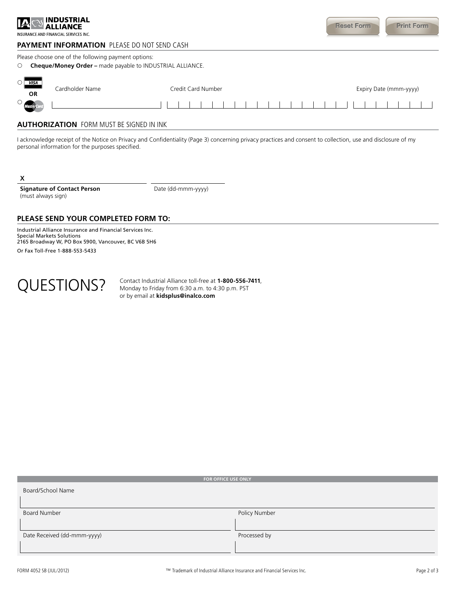| IA                                              | <b>INDUSTRIAL</b><br>INSURANCE AND FINANCIAL SERVICES INC.                                                |                                                           | <b>Reset Form</b><br><b>Print Form</b> |  |
|-------------------------------------------------|-----------------------------------------------------------------------------------------------------------|-----------------------------------------------------------|----------------------------------------|--|
|                                                 | <b>PAYMENT INFORMATION</b> PLEASE DO NOT SEND CASH<br>Please choose one of the following payment options: |                                                           |                                        |  |
| O                                               |                                                                                                           | Cheque/Money Order - made payable to INDUSTRIAL ALLIANCE. |                                        |  |
| <b>VISA</b><br>O<br><b>OR</b>                   | Cardholder Name                                                                                           | Credit Card Number                                        | Expiry Date (mmm-yyyy)                 |  |
| O<br>.<br>Master Ca                             |                                                                                                           |                                                           |                                        |  |
| <b>AUTHORIZATION</b> FORM MUST BE SIGNED IN INK |                                                                                                           |                                                           |                                        |  |

I acknowledge receipt of the Notice on Privacy and Confidentiality (Page 3) concerning privacy practices and consent to collection, use and disclosure of my personal information for the purposes specified.

x

**Signature of Contact Person** (must always sign)

Date (dd-mmm-yyyy)

#### **PLEASE SEND YOUR COMPLETED FORM TO:**

Industrial Alliance Insurance and Financial Services Inc. Special Markets Solutions 2165 Broadway W, PO Box 5900, Vancouver, BC V6B 5H6 Or Fax Toll-Free 1-888-553-5433



QUESTIONS? Contact Industrial Alliance toll-free at 1-800-556-7411,<br>Monday to Friday from 6:30 a.m. to 4:30 p.m. PST Monday to Friday from 6:30 a.m. to 4:30 p.m. PST or by email at **kidsplus@inalco.com**

| FOR OFFICE USE ONLY         |               |
|-----------------------------|---------------|
| Board/School Name           |               |
| <b>Board Number</b>         | Policy Number |
| Date Received (dd-mmm-yyyy) | Processed by  |